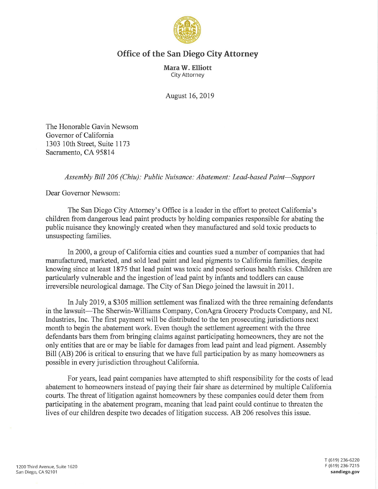

## **Office of the San Diego City Attorney**

**Mara W. Elliott**  City Attorney

August 16, 2019

The Honorable Gavin Newsom Governor of California 1303 10th Street, Suite 1173 Sacramento, CA 95814

*Assembly Bill 206 (Chiu): Public Nuisance: Abatement: Lead-based Paint-Support* 

Dear Governor Newsom:

The San Diego City Attorney's Office is a leader in the effort to protect California's children from dangerous lead paint products by holding companies responsible for abating the public nuisance they knowingly created when they manufactured and sold toxic products to unsuspecting families.

In 2000, a group of California cities and counties sued a number of companies that had manufactured, marketed, and sold lead paint and lead pigments to California families, despite knowing since at least 1875 that lead paint was toxic and posed serious health risks. Children are particularly vulnerable and the ingestion of lead paint by infants and toddlers can cause irreversible neurological damage. The City of San Diego joined the lawsuit in 2011.

In July 2019, a \$305 million settlement was finalized with the three remaining defendants in the lawsuit—The Sherwin-Williams Company, ConAgra Grocery Products Company, and NL Industries, Inc. The first payment will be distributed to the ten prosecuting jurisdictions next month to begin the abatement work. Even though the settlement agreement with the three defendants bars them from bringing claims against participating homeowners, they are not the only entities that are or may be liable for damages from lead paint and lead pigment. Assembly Bill (AB) 206 is critical to ensuring that we have full participation by as many homeowners as possible in every jurisdiction throughout California.

For years, lead paint companies have attempted to shift responsibility for the costs of lead abatement to homeowners instead of paying their fair share as determined by multiple California courts. The threat of litigation against homeowners by these companies could deter them from participating in the abatement program, meaning that lead paint could continue to threaten the lives of our children despite two decades of litigation success. AB 206 resolves this issue.

T (619) 236-6220 F (619) 236-7215 **sandiego.gov**